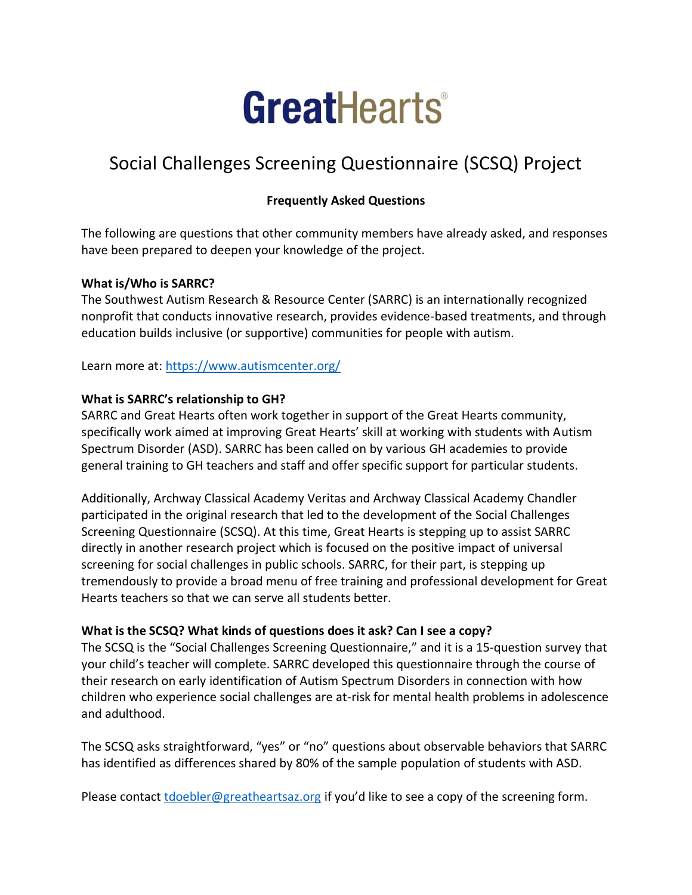# **GreatHearts**

# Social Challenges Screening Questionnaire (SCSQ) Project

# **Frequently Asked Questions**

The following are questions that other community members have already asked, and responses have been prepared to deepen your knowledge of the project.

#### **What is/Who is SARRC?**

The Southwest Autism Research & Resource Center (SARRC) is an internationally recognized nonprofit that conducts innovative research, provides evidence-based treatments, and through education builds inclusive (or supportive) communities for people with autism.

Learn more at:<https://www.autismcenter.org/>

#### **What is SARRC's relationship to GH?**

SARRC and Great Hearts often work together in support of the Great Hearts community, specifically work aimed at improving Great Hearts' skill at working with students with Autism Spectrum Disorder (ASD). SARRC has been called on by various GH academies to provide general training to GH teachers and staff and offer specific support for particular students.

Additionally, Archway Classical Academy Veritas and Archway Classical Academy Chandler participated in the original research that led to the development of the Social Challenges Screening Questionnaire (SCSQ). At this time, Great Hearts is stepping up to assist SARRC directly in another research project which is focused on the positive impact of universal screening for social challenges in public schools. SARRC, for their part, is stepping up tremendously to provide a broad menu of free training and professional development for Great Hearts teachers so that we can serve all students better.

# **What is the SCSQ? What kinds of questions does it ask? Can I see a copy?**

The SCSQ is the "Social Challenges Screening Questionnaire," and it is a 15-question survey that your child's teacher will complete. SARRC developed this questionnaire through the course of their research on early identification of Autism Spectrum Disorders in connection with how children who experience social challenges are at-risk for mental health problems in adolescence and adulthood.

The SCSQ asks straightforward, "yes" or "no" questions about observable behaviors that SARRC has identified as differences shared by 80% of the sample population of students with ASD.

Please contact [tdoebler@greatheartsaz.org](mailto:tdoebler@greatheartsaz.org) if you'd like to see a copy of the screening form.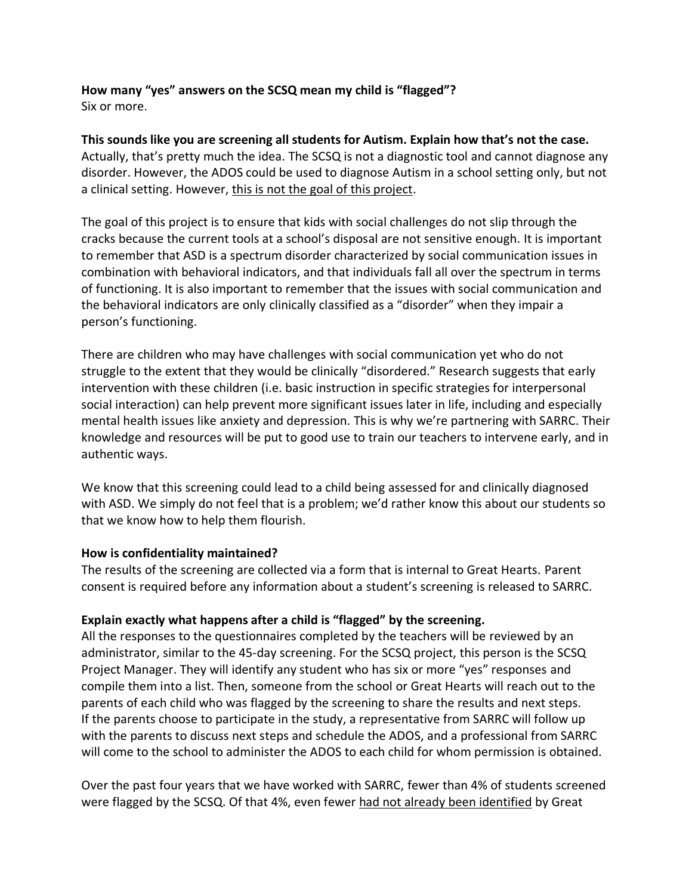**How many "yes" answers on the SCSQ mean my child is "flagged"?** Six or more.

**This sounds like you are screening all students for Autism. Explain how that's not the case.** Actually, that's pretty much the idea. The SCSQ is not a diagnostic tool and cannot diagnose any disorder. However, the ADOS could be used to diagnose Autism in a school setting only, but not a clinical setting. However, this is not the goal of this project.

The goal of this project is to ensure that kids with social challenges do not slip through the cracks because the current tools at a school's disposal are not sensitive enough. It is important to remember that ASD is a spectrum disorder characterized by social communication issues in combination with behavioral indicators, and that individuals fall all over the spectrum in terms of functioning. It is also important to remember that the issues with social communication and the behavioral indicators are only clinically classified as a "disorder" when they impair a person's functioning.

There are children who may have challenges with social communication yet who do not struggle to the extent that they would be clinically "disordered." Research suggests that early intervention with these children (i.e. basic instruction in specific strategies for interpersonal social interaction) can help prevent more significant issues later in life, including and especially mental health issues like anxiety and depression. This is why we're partnering with SARRC. Their knowledge and resources will be put to good use to train our teachers to intervene early, and in authentic ways.

We know that this screening could lead to a child being assessed for and clinically diagnosed with ASD. We simply do not feel that is a problem; we'd rather know this about our students so that we know how to help them flourish.

#### **How is confidentiality maintained?**

The results of the screening are collected via a form that is internal to Great Hearts. Parent consent is required before any information about a student's screening is released to SARRC.

# **Explain exactly what happens after a child is "flagged" by the screening.**

All the responses to the questionnaires completed by the teachers will be reviewed by an administrator, similar to the 45-day screening. For the SCSQ project, this person is the SCSQ Project Manager. They will identify any student who has six or more "yes" responses and compile them into a list. Then, someone from the school or Great Hearts will reach out to the parents of each child who was flagged by the screening to share the results and next steps. If the parents choose to participate in the study, a representative from SARRC will follow up with the parents to discuss next steps and schedule the ADOS, and a professional from SARRC will come to the school to administer the ADOS to each child for whom permission is obtained.

Over the past four years that we have worked with SARRC, fewer than 4% of students screened were flagged by the SCSQ. Of that 4%, even fewer had not already been identified by Great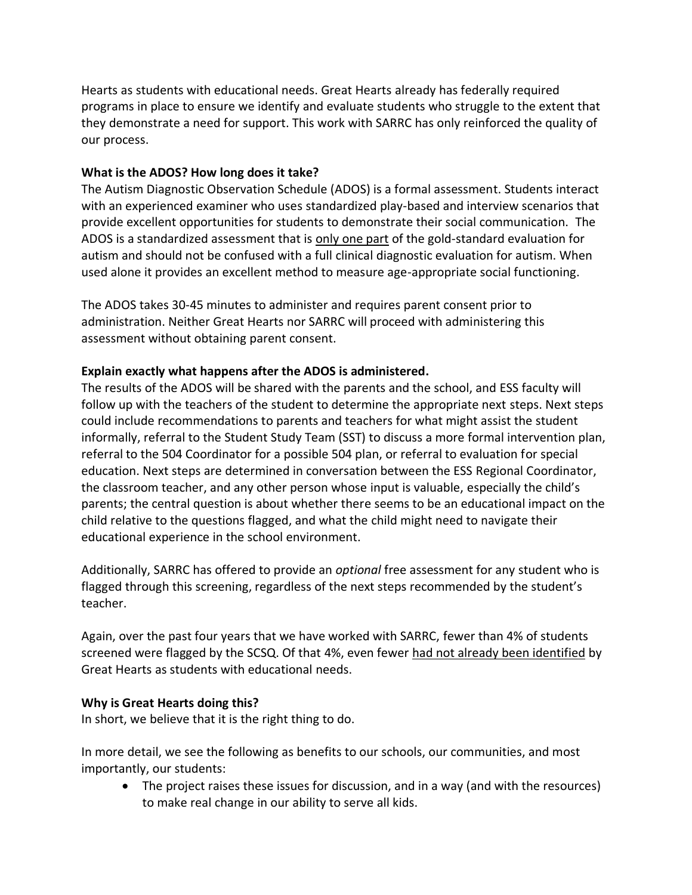Hearts as students with educational needs. Great Hearts already has federally required programs in place to ensure we identify and evaluate students who struggle to the extent that they demonstrate a need for support. This work with SARRC has only reinforced the quality of our process.

#### **What is the ADOS? How long does it take?**

The Autism Diagnostic Observation Schedule (ADOS) is a formal assessment. Students interact with an experienced examiner who uses standardized play-based and interview scenarios that provide excellent opportunities for students to demonstrate their social communication. The ADOS is a standardized assessment that is only one part of the gold-standard evaluation for autism and should not be confused with a full clinical diagnostic evaluation for autism. When used alone it provides an excellent method to measure age-appropriate social functioning.

The ADOS takes 30-45 minutes to administer and requires parent consent prior to administration. Neither Great Hearts nor SARRC will proceed with administering this assessment without obtaining parent consent.

#### **Explain exactly what happens after the ADOS is administered.**

The results of the ADOS will be shared with the parents and the school, and ESS faculty will follow up with the teachers of the student to determine the appropriate next steps. Next steps could include recommendations to parents and teachers for what might assist the student informally, referral to the Student Study Team (SST) to discuss a more formal intervention plan, referral to the 504 Coordinator for a possible 504 plan, or referral to evaluation for special education. Next steps are determined in conversation between the ESS Regional Coordinator, the classroom teacher, and any other person whose input is valuable, especially the child's parents; the central question is about whether there seems to be an educational impact on the child relative to the questions flagged, and what the child might need to navigate their educational experience in the school environment.

Additionally, SARRC has offered to provide an *optional* free assessment for any student who is flagged through this screening, regardless of the next steps recommended by the student's teacher.

Again, over the past four years that we have worked with SARRC, fewer than 4% of students screened were flagged by the SCSQ. Of that 4%, even fewer had not already been identified by Great Hearts as students with educational needs.

#### **Why is Great Hearts doing this?**

In short, we believe that it is the right thing to do.

In more detail, we see the following as benefits to our schools, our communities, and most importantly, our students:

• The project raises these issues for discussion, and in a way (and with the resources) to make real change in our ability to serve all kids.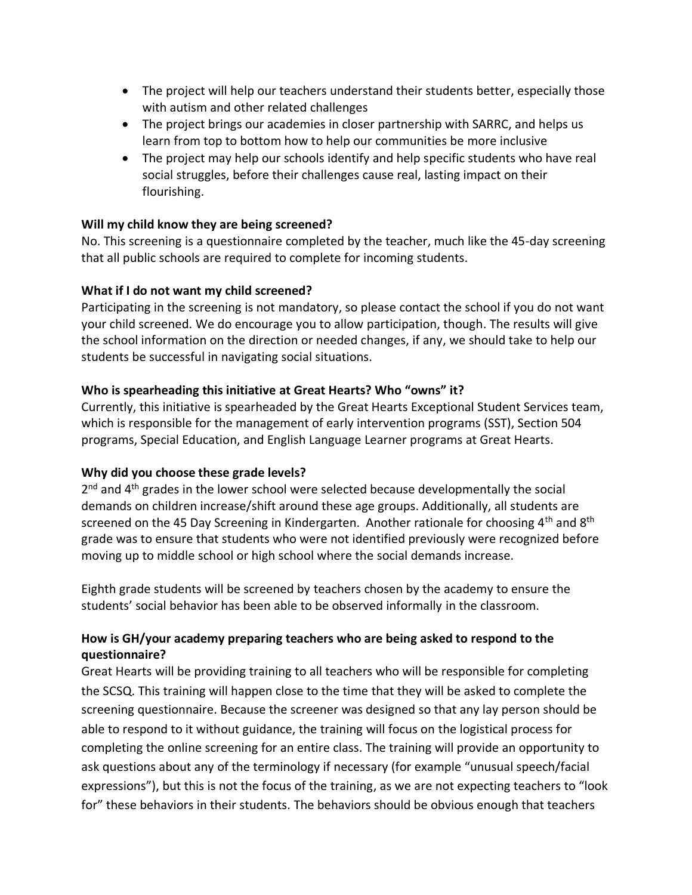- The project will help our teachers understand their students better, especially those with autism and other related challenges
- The project brings our academies in closer partnership with SARRC, and helps us learn from top to bottom how to help our communities be more inclusive
- The project may help our schools identify and help specific students who have real social struggles, before their challenges cause real, lasting impact on their flourishing.

#### **Will my child know they are being screened?**

No. This screening is a questionnaire completed by the teacher, much like the 45-day screening that all public schools are required to complete for incoming students.

#### **What if I do not want my child screened?**

Participating in the screening is not mandatory, so please contact the school if you do not want your child screened. We do encourage you to allow participation, though. The results will give the school information on the direction or needed changes, if any, we should take to help our students be successful in navigating social situations.

#### **Who is spearheading this initiative at Great Hearts? Who "owns" it?**

Currently, this initiative is spearheaded by the Great Hearts Exceptional Student Services team, which is responsible for the management of early intervention programs (SST), Section 504 programs, Special Education, and English Language Learner programs at Great Hearts.

# **Why did you choose these grade levels?**

2<sup>nd</sup> and 4<sup>th</sup> grades in the lower school were selected because developmentally the social demands on children increase/shift around these age groups. Additionally, all students are screened on the 45 Day Screening in Kindergarten. Another rationale for choosing  $4<sup>th</sup>$  and  $8<sup>th</sup>$ grade was to ensure that students who were not identified previously were recognized before moving up to middle school or high school where the social demands increase.

Eighth grade students will be screened by teachers chosen by the academy to ensure the students' social behavior has been able to be observed informally in the classroom.

# **How is GH/your academy preparing teachers who are being asked to respond to the questionnaire?**

Great Hearts will be providing training to all teachers who will be responsible for completing the SCSQ. This training will happen close to the time that they will be asked to complete the screening questionnaire. Because the screener was designed so that any lay person should be able to respond to it without guidance, the training will focus on the logistical process for completing the online screening for an entire class. The training will provide an opportunity to ask questions about any of the terminology if necessary (for example "unusual speech/facial expressions"), but this is not the focus of the training, as we are not expecting teachers to "look for" these behaviors in their students. The behaviors should be obvious enough that teachers